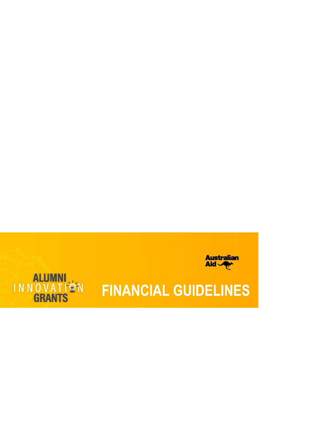



# **FINANCIAL GUIDELINES**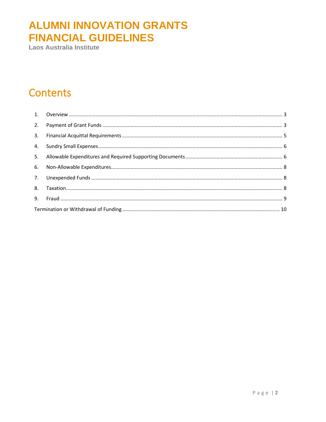Laos Australia Institute

#### **Contents**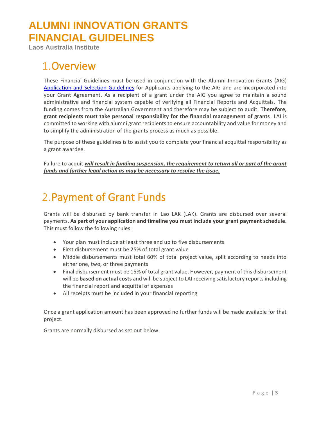<span id="page-2-0"></span>**Laos Australia Institute**

#### Overview

These Financial Guidelines must be used in conjunction with the Alumni Innovation Grants (AIG) [Application and Selection Guidelines](http://laosaustraliainstitute.org/images/AIG_APPLICATION_AND_SELECTION_GUIDELINES.pdf) for Applicants applying to the AIG and are incorporated into your Grant Agreement. As a recipient of a grant under the AIG you agree to maintain a sound administrative and financial system capable of verifying all Financial Reports and Acquittals. The funding comes from the Australian Government and therefore may be subject to audit. **Therefore, grant recipients must take personal responsibility for the financial management of grants**. LAI is committed to working with alumni grant recipients to ensure accountability and value for money and to simplify the administration of the grants process as much as possible.

The purpose of these guidelines is to assist you to complete your financial acquittal responsibility as a grant awardee.

Failure to acquit *will result in funding suspension, the requirement to return all or part of the grant funds and further legal action as may be necessary to resolve the issue.*

#### <span id="page-2-1"></span>2. Payment of Grant Funds

Grants will be disbursed by bank transfer in Lao LAK (LAK). Grants are disbursed over several payments. **As part of your application and timeline you must include your grant payment schedule.**  This must follow the following rules:

- Your plan must include at least three and up to five disbursements
- First disbursement must be 25% of total grant value
- Middle disbursements must total 60% of total project value, split according to needs into either one, two, or three payments
- Final disbursement must be 15% of total grant value. However, payment of this disbursement will be **based on actual costs** and will be subject to LAI receiving satisfactory reports including the financial report and acquittal of expenses
- All receipts must be included in your financial reporting

Once a grant application amount has been approved no further funds will be made available for that project.

Grants are normally disbursed as set out below.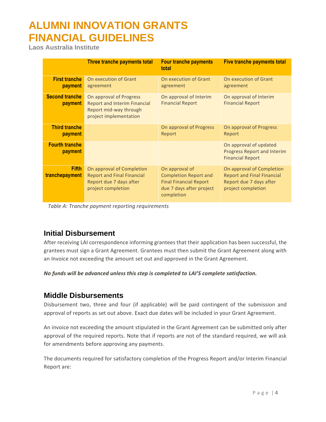**Laos Australia Institute**

|                                  | Three tranche payments total                                                                                       | <b>Four tranche payments</b><br>total                                                                                     | <b>Five tranche payments total</b>                                                                              |
|----------------------------------|--------------------------------------------------------------------------------------------------------------------|---------------------------------------------------------------------------------------------------------------------------|-----------------------------------------------------------------------------------------------------------------|
| <b>First tranche</b><br>payment  | On execution of Grant<br>agreement                                                                                 | On execution of Grant<br>agreement                                                                                        | On execution of Grant<br>agreement                                                                              |
| <b>Second tranche</b><br>payment | On approval of Progress<br><b>Report and Interim Financial</b><br>Report mid-way through<br>project implementation | On approval of Interim<br><b>Financial Report</b>                                                                         | On approval of Interim<br><b>Financial Report</b>                                                               |
| <b>Third tranche</b><br>payment  |                                                                                                                    | On approval of Progress<br>Report                                                                                         | On approval of Progress<br>Report                                                                               |
| <b>Fourth tranche</b><br>payment |                                                                                                                    |                                                                                                                           | On approval of updated<br><b>Progress Report and Interim</b><br><b>Financial Report</b>                         |
| <b>Fifth</b><br>tranchepayment   | On approval of Completion<br><b>Report and Final Financial</b><br>Report due 7 days after<br>project completion    | On approval of<br><b>Completion Report and</b><br><b>Final Financial Report</b><br>due 7 days after project<br>completion | On approval of Completion<br><b>Report and Final Financial</b><br>Report due 7 days after<br>project completion |

*Table A: Tranche payment reporting requirements*

#### **Initial Disbursement**

After receiving LAI correspondence informing grantees that their application has been successful, the grantees must sign a Grant Agreement. Grantees must then submit the Grant Agreement along with an Invoice not exceeding the amount set out and approved in the Grant Agreement.

*No funds will be advanced unless this step is completed to LAI'S complete satisfaction.*

#### **Middle Disbursements**

Disbursement two, three and four (if applicable) will be paid contingent of the submission and approval of reports as set out above. Exact due dates will be included in your Grant Agreement.

An invoice not exceeding the amount stipulated in the Grant Agreement can be submitted only after approval of the required reports. Note that if reports are not of the standard required, we will ask for amendments before approving any payments.

The documents required for satisfactory completion of the Progress Report and/or Interim Financial Report are: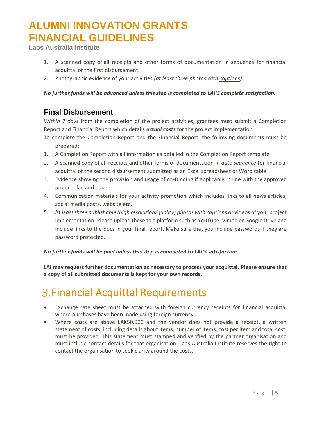**Laos Australia Institute**

- 1. A scanned copy of all receipts and other forms of documentation in sequence for financial acquittal of the first disbursement.
- 2. Photographic evidence of your activities *(at least three photos with captions).*

#### *No further funds will be advanced unless this step is completed to LAI'S complete satisfaction.*

#### **Final Disbursement**

*Within 7 days* from the completion of the project activities, grantees must submit a Completion Report and Financial Report which details *actual costs* for the project implementation.

- To complete the Completion Report and the Financial Report, the following documents must be prepared:
- 1. A Completion Report with all information as detailed in the Completion Report template
- 2. A scanned copy of all receipts and other forms of documentation *in date sequence* for financial acquittal of the second disbursement submitted as an Excel spreadsheet or Word table
- 3. Evidence showing the provision and usage of co-funding if applicable in line with the approved project plan and budget
- 4. Communication materials for your activity promotion which includes links to all news articles, social media posts, website etc.
- 5. At *least three publishable (high resolution/quality) photos with captions* or videos of your project implementation. Please upload these to a platform such as YouTube, Vimeo or Google Drive and include links to the docs in your final report. Make sure that you include passwords if they are password protected.

#### *No further funds will be paid unless this step is completed to LAI'S satisfaction.*

**LAI may request further documentation as necessary to process your acquittal. Please ensure that a copy of all submitted documents is kept for your own records.**

## <span id="page-4-0"></span>**3. Financial Acquittal Requirements**

- Exchange rate sheet must be attached with foreign currency receipts for financial acquittal where purchases have been made using foreign currency.
- Where costs are above LAK50,000 and the vendor does not provide a receipt, a written statement of costs, including details about items, number of items, cost per item and total cost, must be provided. This statement must stamped and verified by the partner organisation and must include contact details for that organisation. Laos Australia Institute reserves the right to contact the organisation to seek clarity around the costs.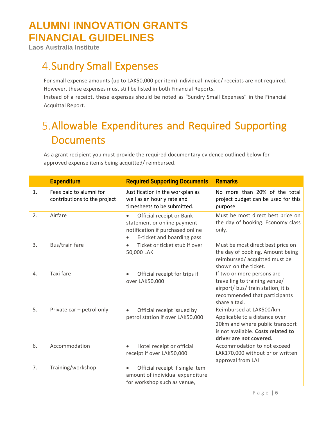**Laos Australia Institute**

## <span id="page-5-0"></span>**4. Sundry Small Expenses**

For small expense amounts (up to LAK50,000 per item) individual invoice/ receipts are not required. However, these expenses must still be listed in both Financial Reports.

Instead of a receipt, these expenses should be noted as "Sundry Small Expenses" in the Financial Acquittal Report.

# <span id="page-5-1"></span>Allowable Expenditures and Required Supporting **Documents**

As a grant recipient you must provide the required documentary evidence outlined below for approved expense items being acquitted/ reimbursed.

|    | <b>Expenditure</b>                                      | <b>Required Supporting Documents</b>                                                                                                   | <b>Remarks</b>                                                                                                                                                |
|----|---------------------------------------------------------|----------------------------------------------------------------------------------------------------------------------------------------|---------------------------------------------------------------------------------------------------------------------------------------------------------------|
| 1. | Fees paid to alumni for<br>contributions to the project | Justification in the workplan as<br>well as an hourly rate and<br>timesheets to be submitted.                                          | No more than 20% of the total<br>project budget can be used for this<br>purpose                                                                               |
| 2. | Airfare                                                 | Official receipt or Bank<br>$\bullet$<br>statement or online payment<br>notification if purchased online<br>E-ticket and boarding pass | Must be most direct best price on<br>the day of booking. Economy class<br>only.                                                                               |
| 3. | Bus/train fare                                          | Ticket or ticket stub if over<br>$\bullet$<br>50,000 LAK                                                                               | Must be most direct best price on<br>the day of booking. Amount being<br>reimbursed/acquitted must be<br>shown on the ticket.                                 |
| 4. | Taxi fare                                               | Official receipt for trips if<br>$\bullet$<br>over LAK50,000                                                                           | If two or more persons are<br>travelling to training venue/<br>airport/ bus/ train station, it is<br>recommended that participants<br>share a taxi.           |
| 5. | Private car - petrol only                               | Official receipt issued by<br>$\bullet$<br>petrol station if over LAK50,000                                                            | Reimbursed at LAK500/km.<br>Applicable to a distance over<br>20km and where public transport<br>is not available. Costs related to<br>driver are not covered. |
| 6. | Accommodation                                           | Hotel receipt or official<br>$\bullet$<br>receipt if over LAK50,000                                                                    | Accommodation to not exceed<br>LAK170,000 without prior written<br>approval from LAI                                                                          |
| 7. | Training/workshop                                       | Official receipt if single item<br>$\bullet$<br>amount of individual expenditure<br>for workshop such as venue,                        |                                                                                                                                                               |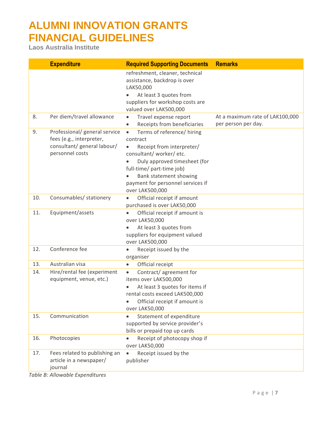**Laos Australia Institute**

|     | <b>Expenditure</b>                                                                                          | <b>Required Supporting Documents</b>                                                                                                                                                                                                                                   | <b>Remarks</b>                                         |
|-----|-------------------------------------------------------------------------------------------------------------|------------------------------------------------------------------------------------------------------------------------------------------------------------------------------------------------------------------------------------------------------------------------|--------------------------------------------------------|
|     |                                                                                                             | refreshment, cleaner, technical<br>assistance, backdrop is over<br>LAK50,000                                                                                                                                                                                           |                                                        |
|     |                                                                                                             | At least 3 quotes from<br>suppliers for workshop costs are<br>valued over LAK500,000                                                                                                                                                                                   |                                                        |
| 8.  | Per diem/travel allowance                                                                                   | Travel expense report<br>$\bullet$<br>Receipts from beneficiaries                                                                                                                                                                                                      | At a maximum rate of LAK100,000<br>per person per day. |
| 9.  | Professional/ general service<br>fees (e.g., interpreter,<br>consultant/ general labour/<br>personnel costs | Terms of reference/ hiring<br>$\bullet$<br>contract<br>Receipt from interpreter/<br>$\bullet$<br>consultant/worker/etc.<br>Duly approved timesheet (for<br>full-time/ part-time job)<br>Bank statement showing<br>payment for personnel services if<br>over LAK500,000 |                                                        |
| 10. | Consumables/ stationery                                                                                     | Official receipt if amount<br>$\bullet$<br>purchased is over LAK50,000                                                                                                                                                                                                 |                                                        |
| 11. | Equipment/assets                                                                                            | Official receipt if amount is<br>over LAK50,000<br>At least 3 quotes from<br>suppliers for equipment valued<br>over LAK500,000                                                                                                                                         |                                                        |
| 12. | Conference fee                                                                                              | Receipt issued by the<br>organiser                                                                                                                                                                                                                                     |                                                        |
| 13. | Australian visa                                                                                             | Official receipt<br>$\bullet$                                                                                                                                                                                                                                          |                                                        |
| 14. | Hire/rental fee (experiment<br>equipment, venue, etc.)                                                      | Contract/agreement for<br>$\bullet$<br>items over LAK500,000<br>At least 3 quotes for items if<br>rental costs exceed LAK500,000<br>Official receipt if amount is<br>over LAK50,000                                                                                    |                                                        |
| 15. | Communication                                                                                               | Statement of expenditure<br>supported by service provider's<br>bills or prepaid top up cards                                                                                                                                                                           |                                                        |
| 16. | Photocopies                                                                                                 | Receipt of photocopy shop if<br>over LAK50,000                                                                                                                                                                                                                         |                                                        |
| 17. | Fees related to publishing an<br>article in a newspaper/<br>journal                                         | Receipt issued by the<br>$\bullet$<br>publisher                                                                                                                                                                                                                        |                                                        |

*Table B: Allowable Expenditures*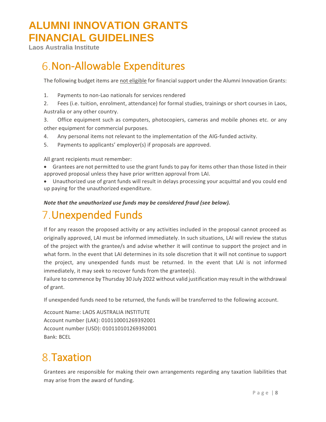<span id="page-7-0"></span>**Laos Australia Institute**

### **6. Non-Allowable Expenditures**

The following budget items are not eligible for financial support under the Alumni Innovation Grants:

- 1. Payments to non-Lao nationals for services rendered
- 2. Fees (i.e. tuition, enrolment, attendance) for formal studies, trainings or short courses in Laos, Australia or any other country.
- 3. Office equipment such as computers, photocopiers, cameras and mobile phones etc. or any other equipment for commercial purposes.
- 4. Any personal items not relevant to the implementation of the AIG-funded activity.
- 5. Payments to applicants' employer(s) if proposals are approved.

All grant recipients must remember:

- Grantees are not permitted to use the grant funds to pay for items other than those listed in their approved proposal unless they have prior written approval from LAI.
- Unauthorized use of grant funds will result in delays processing your acquittal and you could end up paying for the unauthorized expenditure.

*Note that the unauthorized use funds may be considered fraud (see below).*

#### <span id="page-7-1"></span>Unexpended Funds

If for any reason the proposed activity or any activities included in the proposal cannot proceed as originally approved, LAI must be informed immediately. In such situations, LAI will review the status of the project with the grantee/s and advise whether it will continue to support the project and in what form. In the event that LAI determines in its sole discretion that it will not continue to support the project, any unexpended funds must be returned. In the event that LAI is not informed immediately, it may seek to recover funds from the grantee(s).

Failure to commence by Thursday 30 July 2022 without valid justification may result in the withdrawal of grant.

If unexpended funds need to be returned, the funds will be transferred to the following account.

Account Name: LAOS AUSTRALIA INSTITUTE Account number (LAK): 010110001269392001 Account number (USD): 010110101269392001 Bank: BCEL

### <span id="page-7-2"></span>8. Taxation

Grantees are responsible for making their own arrangements regarding any taxation liabilities that may arise from the award of funding.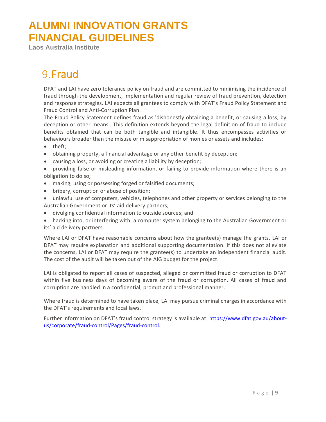**Laos Australia Institute**

#### <span id="page-8-0"></span>9. Fraud

DFAT and LAI have zero tolerance policy on fraud and are committed to minimising the incidence of fraud through the development, implementation and regular review of fraud prevention, detection and response strategies. LAI expects all grantees to comply with DFAT's Fraud Policy Statement and Fraud Control and Anti-Corruption Plan.

The Fraud Policy Statement defines fraud as 'dishonestly obtaining a benefit, or causing a loss, by deception or other means'. This definition extends beyond the legal definition of fraud to include benefits obtained that can be both tangible and intangible. It thus encompasses activities or behaviours broader than the misuse or misappropriation of monies or assets and includes:

- theft;
- obtaining property, a financial advantage or any other benefit by deception;
- causing a loss, or avoiding or creating a liability by deception;
- providing false or misleading information, or failing to provide information where there is an obligation to do so;
- making, using or possessing forged or falsified documents;
- bribery, corruption or abuse of position;
- unlawful use of computers, vehicles, telephones and other property or services belonging to the Australian Government or its' aid delivery partners;
- divulging confidential information to outside sources; and
- hacking into, or interfering with, a computer system belonging to the Australian Government or its' aid delivery partners.

Where LAI or DFAT have reasonable concerns about how the grantee(s) manage the grants, LAI or DFAT may require explanation and additional supporting documentation. If this does not alleviate the concerns, LAI or DFAT may require the grantee(s) to undertake an independent financial audit. The cost of the audit will be taken out of the AIG budget for the project.

LAI is obligated to report all cases of suspected, alleged or committed fraud or corruption to DFAT within five business days of becoming aware of the fraud or corruption. All cases of fraud and corruption are handled in a confidential, prompt and professional manner.

Where fraud is determined to have taken place, LAI may pursue criminal charges in accordance with the DFAT's requirements and local laws.

Further information on DFAT's fraud control strategy is available at: [https://www.dfat.gov.au/about](https://www.dfat.gov.au/about-us/corporate/fraud-control/Pages/fraud-control)[us/corporate/fraud-control/Pages/fraud-control.](https://www.dfat.gov.au/about-us/corporate/fraud-control/Pages/fraud-control)